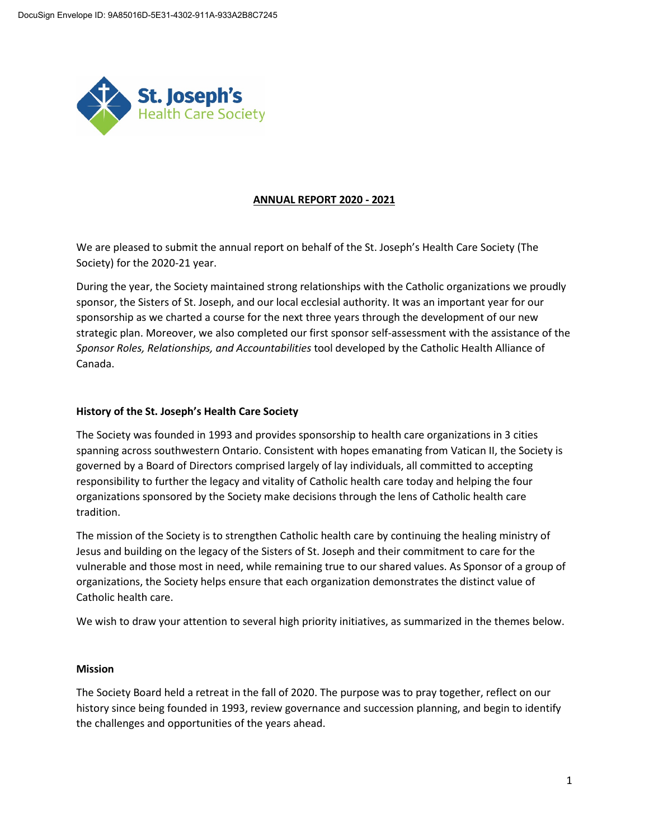

### **ANNUAL REPORT 2020 - 2021**

We are pleased to submit the annual report on behalf of the St. Joseph's Health Care Society (The Society) for the 2020-21 year.

During the year, the Society maintained strong relationships with the Catholic organizations we proudly sponsor, the Sisters of St. Joseph, and our local ecclesial authority. It was an important year for our sponsorship as we charted a course for the next three years through the development of our new strategic plan. Moreover, we also completed our first sponsor self-assessment with the assistance of the *Sponsor Roles, Relationships, and Accountabilities* tool developed by the Catholic Health Alliance of Canada.

### **History of the St. Joseph's Health Care Society**

The Society was founded in 1993 and provides sponsorship to health care organizations in 3 cities spanning across southwestern Ontario. Consistent with hopes emanating from Vatican II, the Society is governed by a Board of Directors comprised largely of lay individuals, all committed to accepting responsibility to further the legacy and vitality of Catholic health care today and helping the four organizations sponsored by the Society make decisions through the lens of Catholic health care tradition.

The mission of the Society is to strengthen Catholic health care by continuing the healing ministry of Jesus and building on the legacy of the Sisters of St. Joseph and their commitment to care for the vulnerable and those most in need, while remaining true to our shared values. As Sponsor of a group of organizations, the Society helps ensure that each organization demonstrates the distinct value of Catholic health care.

We wish to draw your attention to several high priority initiatives, as summarized in the themes below.

#### **Mission**

The Society Board held a retreat in the fall of 2020. The purpose was to pray together, reflect on our history since being founded in 1993, review governance and succession planning, and begin to identify the challenges and opportunities of the years ahead.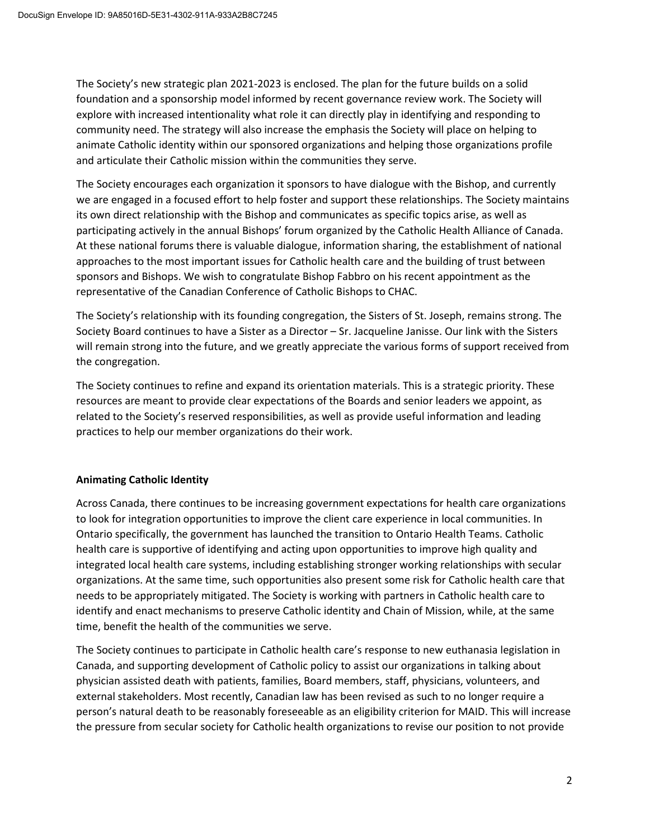The Society's new strategic plan 2021-2023 is enclosed. The plan for the future builds on a solid foundation and a sponsorship model informed by recent governance review work. The Society will explore with increased intentionality what role it can directly play in identifying and responding to community need. The strategy will also increase the emphasis the Society will place on helping to animate Catholic identity within our sponsored organizations and helping those organizations profile and articulate their Catholic mission within the communities they serve.

The Society encourages each organization it sponsors to have dialogue with the Bishop, and currently we are engaged in a focused effort to help foster and support these relationships. The Society maintains its own direct relationship with the Bishop and communicates as specific topics arise, as well as participating actively in the annual Bishops' forum organized by the Catholic Health Alliance of Canada. At these national forums there is valuable dialogue, information sharing, the establishment of national approaches to the most important issues for Catholic health care and the building of trust between sponsors and Bishops. We wish to congratulate Bishop Fabbro on his recent appointment as the representative of the Canadian Conference of Catholic Bishops to CHAC.

The Society's relationship with its founding congregation, the Sisters of St. Joseph, remains strong. The Society Board continues to have a Sister as a Director – Sr. Jacqueline Janisse. Our link with the Sisters will remain strong into the future, and we greatly appreciate the various forms of support received from the congregation.

The Society continues to refine and expand its orientation materials. This is a strategic priority. These resources are meant to provide clear expectations of the Boards and senior leaders we appoint, as related to the Society's reserved responsibilities, as well as provide useful information and leading practices to help our member organizations do their work.

# **Animating Catholic Identity**

Across Canada, there continues to be increasing government expectations for health care organizations to look for integration opportunities to improve the client care experience in local communities. In Ontario specifically, the government has launched the transition to Ontario Health Teams. Catholic health care is supportive of identifying and acting upon opportunities to improve high quality and integrated local health care systems, including establishing stronger working relationships with secular organizations. At the same time, such opportunities also present some risk for Catholic health care that needs to be appropriately mitigated. The Society is working with partners in Catholic health care to identify and enact mechanisms to preserve Catholic identity and Chain of Mission, while, at the same time, benefit the health of the communities we serve.

The Society continues to participate in Catholic health care's response to new euthanasia legislation in Canada, and supporting development of Catholic policy to assist our organizations in talking about physician assisted death with patients, families, Board members, staff, physicians, volunteers, and external stakeholders. Most recently, Canadian law has been revised as such to no longer require a person's natural death to be reasonably foreseeable as an eligibility criterion for MAID. This will increase the pressure from secular society for Catholic health organizations to revise our position to not provide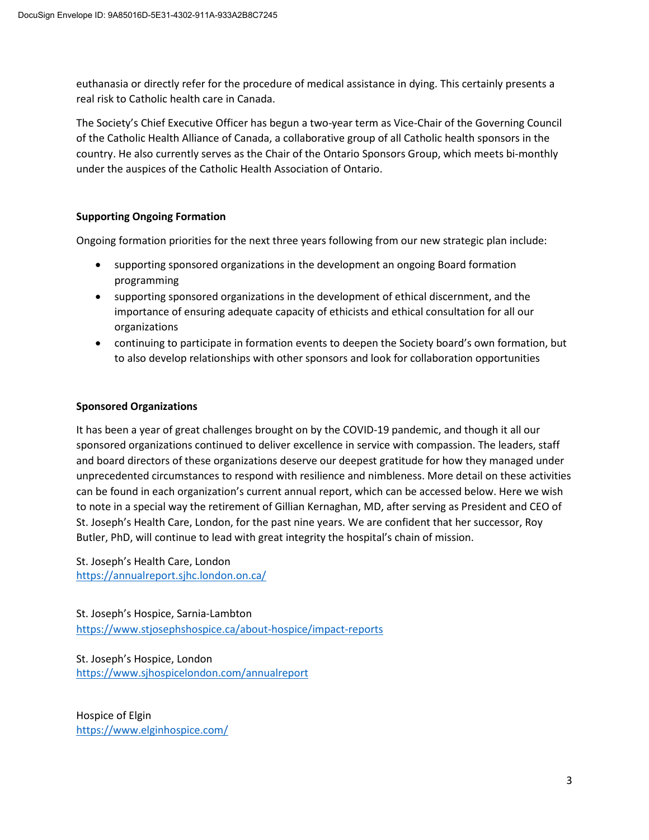euthanasia or directly refer for the procedure of medical assistance in dying. This certainly presents a real risk to Catholic health care in Canada.

The Society's Chief Executive Officer has begun a two-year term as Vice-Chair of the Governing Council of the Catholic Health Alliance of Canada, a collaborative group of all Catholic health sponsors in the country. He also currently serves as the Chair of the Ontario Sponsors Group, which meets bi-monthly under the auspices of the Catholic Health Association of Ontario.

# **Supporting Ongoing Formation**

Ongoing formation priorities for the next three years following from our new strategic plan include:

- supporting sponsored organizations in the development an ongoing Board formation programming
- supporting sponsored organizations in the development of ethical discernment, and the importance of ensuring adequate capacity of ethicists and ethical consultation for all our organizations
- continuing to participate in formation events to deepen the Society board's own formation, but to also develop relationships with other sponsors and look for collaboration opportunities

## **Sponsored Organizations**

It has been a year of great challenges brought on by the COVID-19 pandemic, and though it all our sponsored organizations continued to deliver excellence in service with compassion. The leaders, staff and board directors of these organizations deserve our deepest gratitude for how they managed under unprecedented circumstances to respond with resilience and nimbleness. More detail on these activities can be found in each organization's current annual report, which can be accessed below. Here we wish to note in a special way the retirement of Gillian Kernaghan, MD, after serving as President and CEO of St. Joseph's Health Care, London, for the past nine years. We are confident that her successor, Roy Butler, PhD, will continue to lead with great integrity the hospital's chain of mission.

St. Joseph's Health Care, London <https://annualreport.sjhc.london.on.ca/>

St. Joseph's Hospice, Sarnia-Lambton <https://www.stjosephshospice.ca/about-hospice/impact-reports>

St. Joseph's Hospice, London <https://www.sjhospicelondon.com/annualreport>

Hospice of Elgin <https://www.elginhospice.com/>